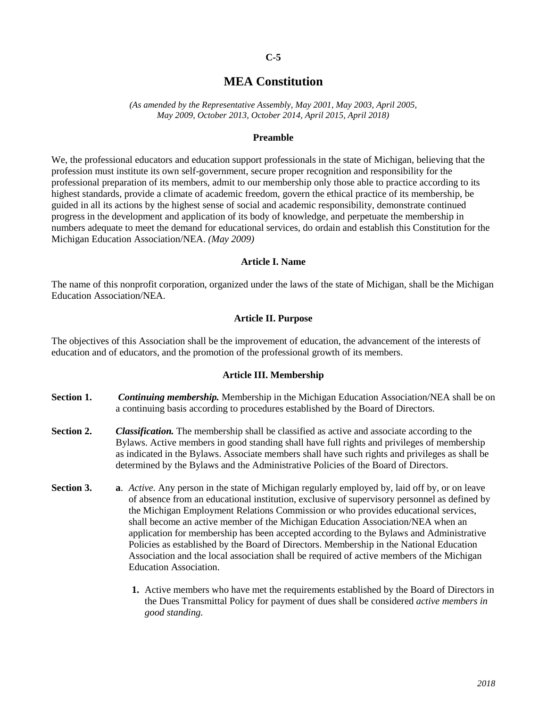## **C-5**

# **MEA Constitution**

*(As amended by the Representative Assembly, May 2001, May 2003, April 2005, May 2009, October 2013, October 2014, April 2015, April 2018)*

#### **Preamble**

We, the professional educators and education support professionals in the state of Michigan, believing that the profession must institute its own self-government, secure proper recognition and responsibility for the professional preparation of its members, admit to our membership only those able to practice according to its highest standards, provide a climate of academic freedom, govern the ethical practice of its membership, be guided in all its actions by the highest sense of social and academic responsibility, demonstrate continued progress in the development and application of its body of knowledge, and perpetuate the membership in numbers adequate to meet the demand for educational services, do ordain and establish this Constitution for the Michigan Education Association/NEA. *(May 2009)*

#### **Article I. Name**

The name of this nonprofit corporation, organized under the laws of the state of Michigan, shall be the Michigan Education Association/NEA.

#### **Article II. Purpose**

The objectives of this Association shall be the improvement of education, the advancement of the interests of education and of educators, and the promotion of the professional growth of its members.

#### **Article III. Membership**

- **Section 1.** *Continuing membership.* Membership in the Michigan Education Association/NEA shall be on a continuing basis according to procedures established by the Board of Directors.
- **Section 2.** *Classification.* The membership shall be classified as active and associate according to the Bylaws. Active members in good standing shall have full rights and privileges of membership as indicated in the Bylaws. Associate members shall have such rights and privileges as shall be determined by the Bylaws and the Administrative Policies of the Board of Directors.
- **Section 3. a**. *Active.* Any person in the state of Michigan regularly employed by, laid off by, or on leave of absence from an educational institution, exclusive of supervisory personnel as defined by the Michigan Employment Relations Commission or who provides educational services, shall become an active member of the Michigan Education Association/NEA when an application for membership has been accepted according to the Bylaws and Administrative Policies as established by the Board of Directors. Membership in the National Education Association and the local association shall be required of active members of the Michigan Education Association.
	- **1.** Active members who have met the requirements established by the Board of Directors in the Dues Transmittal Policy for payment of dues shall be considered *active members in good standing.*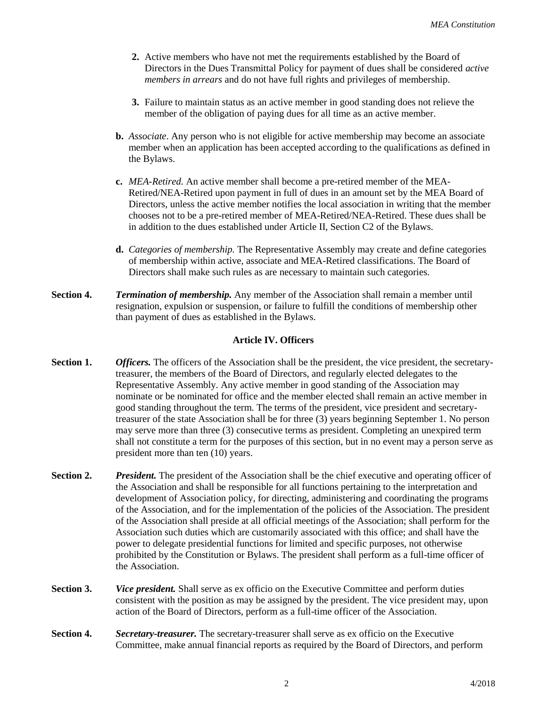- **2.** Active members who have not met the requirements established by the Board of Directors in the Dues Transmittal Policy for payment of dues shall be considered *active members in arrears* and do not have full rights and privileges of membership.
- **3.** Failure to maintain status as an active member in good standing does not relieve the member of the obligation of paying dues for all time as an active member.
- **b.** *Associate*. Any person who is not eligible for active membership may become an associate member when an application has been accepted according to the qualifications as defined in the Bylaws.
- **c.** *MEA-Retired.* An active member shall become a pre-retired member of the MEA-Retired/NEA-Retired upon payment in full of dues in an amount set by the MEA Board of Directors, unless the active member notifies the local association in writing that the member chooses not to be a pre-retired member of MEA-Retired/NEA-Retired. These dues shall be in addition to the dues established under Article II, Section C2 of the Bylaws.
- **d.** *Categories of membership.* The Representative Assembly may create and define categories of membership within active, associate and MEA-Retired classifications. The Board of Directors shall make such rules as are necessary to maintain such categories.
- **Section 4.** *Termination of membership.* Any member of the Association shall remain a member until resignation, expulsion or suspension, or failure to fulfill the conditions of membership other than payment of dues as established in the Bylaws.

# **Article IV. Officers**

- **Section 1.** *Officers.* The officers of the Association shall be the president, the vice president, the secretarytreasurer, the members of the Board of Directors, and regularly elected delegates to the Representative Assembly. Any active member in good standing of the Association may nominate or be nominated for office and the member elected shall remain an active member in good standing throughout the term. The terms of the president, vice president and secretarytreasurer of the state Association shall be for three (3) years beginning September 1. No person may serve more than three (3) consecutive terms as president. Completing an unexpired term shall not constitute a term for the purposes of this section, but in no event may a person serve as president more than ten (10) years.
- **Section 2.** *President.* The president of the Association shall be the chief executive and operating officer of the Association and shall be responsible for all functions pertaining to the interpretation and development of Association policy, for directing, administering and coordinating the programs of the Association, and for the implementation of the policies of the Association. The president of the Association shall preside at all official meetings of the Association; shall perform for the Association such duties which are customarily associated with this office; and shall have the power to delegate presidential functions for limited and specific purposes, not otherwise prohibited by the Constitution or Bylaws. The president shall perform as a full-time officer of the Association.
- **Section 3.** *Vice president.* Shall serve as ex officio on the Executive Committee and perform duties consistent with the position as may be assigned by the president. The vice president may, upon action of the Board of Directors, perform as a full-time officer of the Association.
- **Section 4.** *Secretary-treasurer.* The secretary-treasurer shall serve as ex officio on the Executive Committee, make annual financial reports as required by the Board of Directors, and perform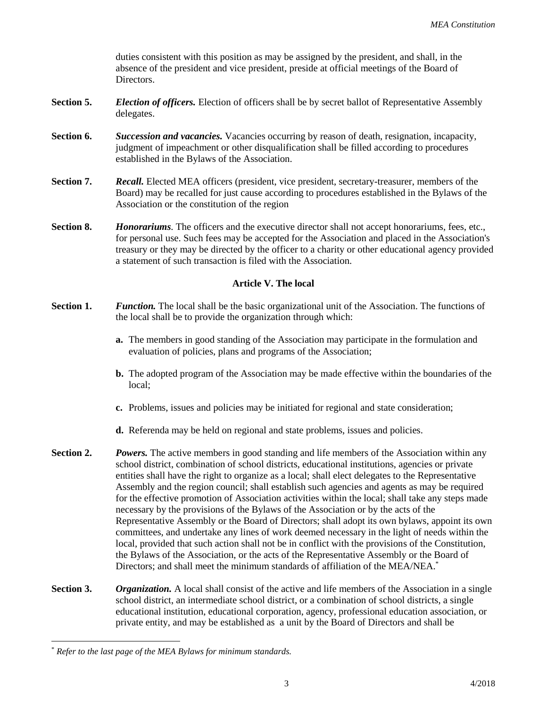duties consistent with this position as may be assigned by the president, and shall, in the absence of the president and vice president, preside at official meetings of the Board of Directors.

- **Section 5.** *Election of officers.* Election of officers shall be by secret ballot of Representative Assembly delegates.
- **Section 6.** *Succession and vacancies.* Vacancies occurring by reason of death, resignation, incapacity, judgment of impeachment or other disqualification shall be filled according to procedures established in the Bylaws of the Association.
- **Section 7.** *Recall.* Elected MEA officers (president, vice president, secretary-treasurer, members of the Board) may be recalled for just cause according to procedures established in the Bylaws of the Association or the constitution of the region
- **Section 8.** *Honorariums.* The officers and the executive director shall not accept honorariums, fees, etc., for personal use. Such fees may be accepted for the Association and placed in the Association's treasury or they may be directed by the officer to a charity or other educational agency provided a statement of such transaction is filed with the Association.

# **Article V. The local**

- **Section 1.** *Function.* The local shall be the basic organizational unit of the Association. The functions of the local shall be to provide the organization through which:
	- **a.** The members in good standing of the Association may participate in the formulation and evaluation of policies, plans and programs of the Association;
	- **b.** The adopted program of the Association may be made effective within the boundaries of the local;
	- **c.** Problems, issues and policies may be initiated for regional and state consideration;
	- **d.** Referenda may be held on regional and state problems, issues and policies.
- **Section 2.** *Powers.* The active members in good standing and life members of the Association within any school district, combination of school districts, educational institutions, agencies or private entities shall have the right to organize as a local; shall elect delegates to the Representative Assembly and the region council; shall establish such agencies and agents as may be required for the effective promotion of Association activities within the local; shall take any steps made necessary by the provisions of the Bylaws of the Association or by the acts of the Representative Assembly or the Board of Directors; shall adopt its own bylaws, appoint its own committees, and undertake any lines of work deemed necessary in the light of needs within the local, provided that such action shall not be in conflict with the provisions of the Constitution, the Bylaws of the Association, or the acts of the Representative Assembly or the Board of Directors; and shall meet the minimum standards of affiliation of the MEA/NEA.\*
- **Section 3.** *Organization.* A local shall consist of the active and life members of the Association in a single school district, an intermediate school district, or a combination of school districts, a single educational institution, educational corporation, agency, professional education association, or private entity, and may be established as a unit by the Board of Directors and shall be

 $\overline{a}$ 

<sup>\*</sup> *Refer to the last page of the MEA Bylaws for minimum standards.*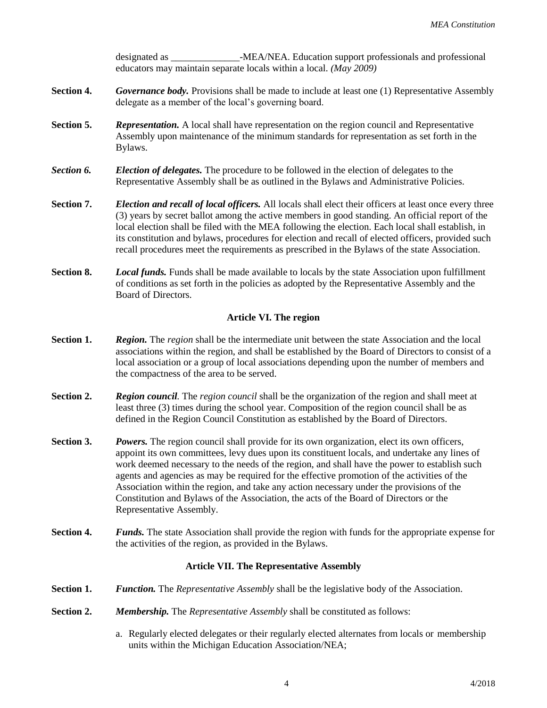designated as \_\_\_\_\_\_\_\_\_\_\_\_\_\_-MEA/NEA. Education support professionals and professional educators may maintain separate locals within a local. *(May 2009)*

- **Section 4.** *Governance body.* Provisions shall be made to include at least one (1) Representative Assembly delegate as a member of the local's governing board.
- **Section 5.** *Representation.* A local shall have representation on the region council and Representative Assembly upon maintenance of the minimum standards for representation as set forth in the Bylaws.
- *Section 6. Election of delegates.* The procedure to be followed in the election of delegates to the Representative Assembly shall be as outlined in the Bylaws and Administrative Policies.
- **Section 7.** *Election and recall of local officers.* All locals shall elect their officers at least once every three (3) years by secret ballot among the active members in good standing. An official report of the local election shall be filed with the MEA following the election. Each local shall establish, in its constitution and bylaws, procedures for election and recall of elected officers, provided such recall procedures meet the requirements as prescribed in the Bylaws of the state Association.
- **Section 8.** *Local funds.* Funds shall be made available to locals by the state Association upon fulfillment of conditions as set forth in the policies as adopted by the Representative Assembly and the Board of Directors.

# **Article VI. The region**

- **Section 1.** *Region.* The *region* shall be the intermediate unit between the state Association and the local associations within the region, and shall be established by the Board of Directors to consist of a local association or a group of local associations depending upon the number of members and the compactness of the area to be served.
- **Section 2.** *Region council.* The *region council* shall be the organization of the region and shall meet at least three (3) times during the school year. Composition of the region council shall be as defined in the Region Council Constitution as established by the Board of Directors.
- **Section 3.** *Powers.* The region council shall provide for its own organization, elect its own officers, appoint its own committees, levy dues upon its constituent locals, and undertake any lines of work deemed necessary to the needs of the region, and shall have the power to establish such agents and agencies as may be required for the effective promotion of the activities of the Association within the region, and take any action necessary under the provisions of the Constitution and Bylaws of the Association, the acts of the Board of Directors or the Representative Assembly.
- **Section 4.** *Funds.* The state Association shall provide the region with funds for the appropriate expense for the activities of the region, as provided in the Bylaws.

# **Article VII. The Representative Assembly**

- **Section 1.** *Function.* The *Representative Assembly* shall be the legislative body of the Association.
- **Section 2.** *Membership.* The *Representative Assembly* shall be constituted as follows:
	- a. Regularly elected delegates or their regularly elected alternates from locals or membership units within the Michigan Education Association/NEA;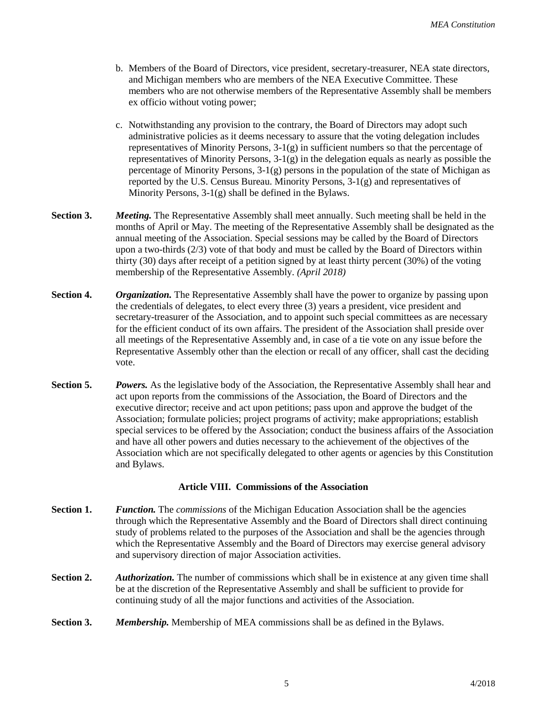- b. Members of the Board of Directors, vice president, secretary-treasurer, NEA state directors, and Michigan members who are members of the NEA Executive Committee. These members who are not otherwise members of the Representative Assembly shall be members ex officio without voting power;
- c. Notwithstanding any provision to the contrary, the Board of Directors may adopt such administrative policies as it deems necessary to assure that the voting delegation includes representatives of Minority Persons, 3-1(g) in sufficient numbers so that the percentage of representatives of Minority Persons, 3-1(g) in the delegation equals as nearly as possible the percentage of Minority Persons, 3-1(g) persons in the population of the state of Michigan as reported by the U.S. Census Bureau. Minority Persons, 3-1(g) and representatives of Minority Persons, 3-1(g) shall be defined in the Bylaws.
- **Section 3.** *Meeting.* The Representative Assembly shall meet annually. Such meeting shall be held in the months of April or May. The meeting of the Representative Assembly shall be designated as the annual meeting of the Association. Special sessions may be called by the Board of Directors upon a two-thirds (2/3) vote of that body and must be called by the Board of Directors within thirty (30) days after receipt of a petition signed by at least thirty percent (30%) of the voting membership of the Representative Assembly. *(April 2018)*
- **Section 4.** *Organization.* The Representative Assembly shall have the power to organize by passing upon the credentials of delegates, to elect every three (3) years a president, vice president and secretary-treasurer of the Association, and to appoint such special committees as are necessary for the efficient conduct of its own affairs. The president of the Association shall preside over all meetings of the Representative Assembly and, in case of a tie vote on any issue before the Representative Assembly other than the election or recall of any officer, shall cast the deciding vote.
- **Section 5.** *Powers.* As the legislative body of the Association, the Representative Assembly shall hear and act upon reports from the commissions of the Association, the Board of Directors and the executive director; receive and act upon petitions; pass upon and approve the budget of the Association; formulate policies; project programs of activity; make appropriations; establish special services to be offered by the Association; conduct the business affairs of the Association and have all other powers and duties necessary to the achievement of the objectives of the Association which are not specifically delegated to other agents or agencies by this Constitution and Bylaws.

# **Article VIII. Commissions of the Association**

- **Section 1.** *Function.* The *commissions* of the Michigan Education Association shall be the agencies through which the Representative Assembly and the Board of Directors shall direct continuing study of problems related to the purposes of the Association and shall be the agencies through which the Representative Assembly and the Board of Directors may exercise general advisory and supervisory direction of major Association activities.
- **Section 2.** *Authorization.* The number of commissions which shall be in existence at any given time shall be at the discretion of the Representative Assembly and shall be sufficient to provide for continuing study of all the major functions and activities of the Association.
- **Section 3.** *Membership.* Membership of MEA commissions shall be as defined in the Bylaws.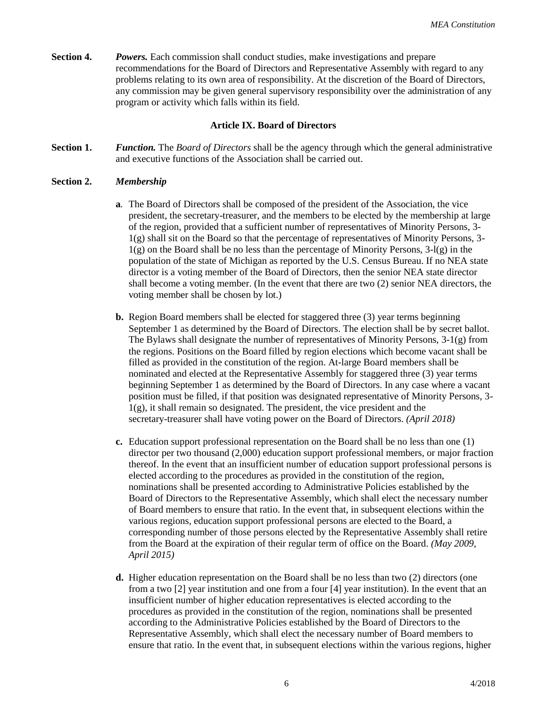**Section 4.** *Powers.* Each commission shall conduct studies, make investigations and prepare recommendations for the Board of Directors and Representative Assembly with regard to any problems relating to its own area of responsibility. At the discretion of the Board of Directors, any commission may be given general supervisory responsibility over the administration of any program or activity which falls within its field.

# **Article IX. Board of Directors**

**Section 1.** *Function.* The *Board of Directors* shall be the agency through which the general administrative and executive functions of the Association shall be carried out.

# **Section 2.** *Membership*

- **a***.* The Board of Directors shall be composed of the president of the Association, the vice president, the secretary-treasurer, and the members to be elected by the membership at large of the region, provided that a sufficient number of representatives of Minority Persons, 3- 1(g) shall sit on the Board so that the percentage of representatives of Minority Persons, 3-  $1(g)$  on the Board shall be no less than the percentage of Minority Persons,  $3-l(g)$  in the population of the state of Michigan as reported by the U.S. Census Bureau. If no NEA state director is a voting member of the Board of Directors, then the senior NEA state director shall become a voting member. (In the event that there are two (2) senior NEA directors, the voting member shall be chosen by lot.)
- **b.** Region Board members shall be elected for staggered three (3) year terms beginning September 1 as determined by the Board of Directors. The election shall be by secret ballot. The Bylaws shall designate the number of representatives of Minority Persons,  $3-1(g)$  from the regions. Positions on the Board filled by region elections which become vacant shall be filled as provided in the constitution of the region. At-large Board members shall be nominated and elected at the Representative Assembly for staggered three (3) year terms beginning September 1 as determined by the Board of Directors. In any case where a vacant position must be filled, if that position was designated representative of Minority Persons, 3- 1(g), it shall remain so designated. The president, the vice president and the secretary-treasurer shall have voting power on the Board of Directors. *(April 2018)*
- **c.** Education support professional representation on the Board shall be no less than one (1) director per two thousand (2,000) education support professional members, or major fraction thereof. In the event that an insufficient number of education support professional persons is elected according to the procedures as provided in the constitution of the region, nominations shall be presented according to Administrative Policies established by the Board of Directors to the Representative Assembly, which shall elect the necessary number of Board members to ensure that ratio. In the event that, in subsequent elections within the various regions, education support professional persons are elected to the Board, a corresponding number of those persons elected by the Representative Assembly shall retire from the Board at the expiration of their regular term of office on the Board. *(May 2009, April 2015)*
- **d.** Higher education representation on the Board shall be no less than two (2) directors (one from a two [2] year institution and one from a four [4] year institution). In the event that an insufficient number of higher education representatives is elected according to the procedures as provided in the constitution of the region, nominations shall be presented according to the Administrative Policies established by the Board of Directors to the Representative Assembly, which shall elect the necessary number of Board members to ensure that ratio. In the event that, in subsequent elections within the various regions, higher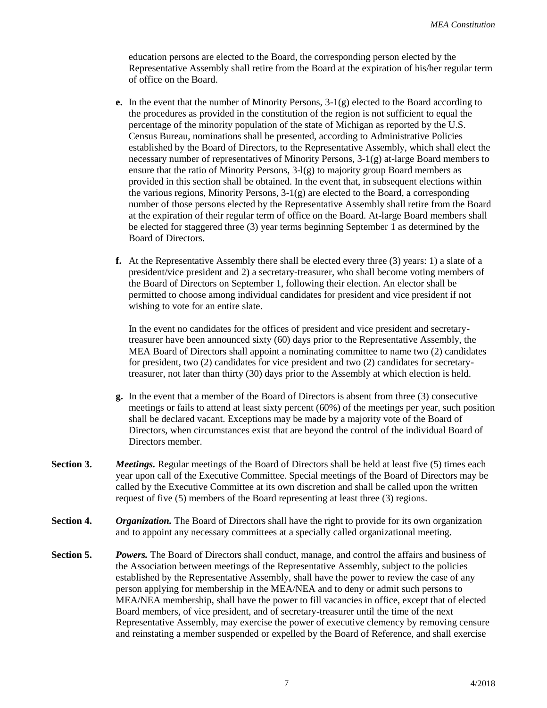education persons are elected to the Board, the corresponding person elected by the Representative Assembly shall retire from the Board at the expiration of his/her regular term of office on the Board.

- **e.** In the event that the number of Minority Persons,  $3-1(g)$  elected to the Board according to the procedures as provided in the constitution of the region is not sufficient to equal the percentage of the minority population of the state of Michigan as reported by the U.S. Census Bureau, nominations shall be presented, according to Administrative Policies established by the Board of Directors, to the Representative Assembly, which shall elect the necessary number of representatives of Minority Persons, 3-1(g) at-large Board members to ensure that the ratio of Minority Persons,  $3-l(g)$  to majority group Board members as provided in this section shall be obtained. In the event that, in subsequent elections within the various regions, Minority Persons,  $3-1(g)$  are elected to the Board, a corresponding number of those persons elected by the Representative Assembly shall retire from the Board at the expiration of their regular term of office on the Board. At-large Board members shall be elected for staggered three (3) year terms beginning September 1 as determined by the Board of Directors.
- **f.** At the Representative Assembly there shall be elected every three (3) years: 1) a slate of a president/vice president and 2) a secretary-treasurer, who shall become voting members of the Board of Directors on September 1, following their election. An elector shall be permitted to choose among individual candidates for president and vice president if not wishing to vote for an entire slate.

In the event no candidates for the offices of president and vice president and secretarytreasurer have been announced sixty (60) days prior to the Representative Assembly, the MEA Board of Directors shall appoint a nominating committee to name two (2) candidates for president, two (2) candidates for vice president and two (2) candidates for secretarytreasurer, not later than thirty (30) days prior to the Assembly at which election is held.

- **g.** In the event that a member of the Board of Directors is absent from three (3) consecutive meetings or fails to attend at least sixty percent (60%) of the meetings per year, such position shall be declared vacant. Exceptions may be made by a majority vote of the Board of Directors, when circumstances exist that are beyond the control of the individual Board of Directors member.
- **Section 3.** *Meetings.* Regular meetings of the Board of Directors shall be held at least five (5) times each year upon call of the Executive Committee. Special meetings of the Board of Directors may be called by the Executive Committee at its own discretion and shall be called upon the written request of five (5) members of the Board representing at least three (3) regions.
- **Section 4.** *Organization.* The Board of Directors shall have the right to provide for its own organization and to appoint any necessary committees at a specially called organizational meeting.
- **Section 5.** *Powers.* The Board of Directors shall conduct, manage, and control the affairs and business of the Association between meetings of the Representative Assembly, subject to the policies established by the Representative Assembly, shall have the power to review the case of any person applying for membership in the MEA/NEA and to deny or admit such persons to MEA/NEA membership, shall have the power to fill vacancies in office, except that of elected Board members, of vice president, and of secretary-treasurer until the time of the next Representative Assembly, may exercise the power of executive clemency by removing censure and reinstating a member suspended or expelled by the Board of Reference, and shall exercise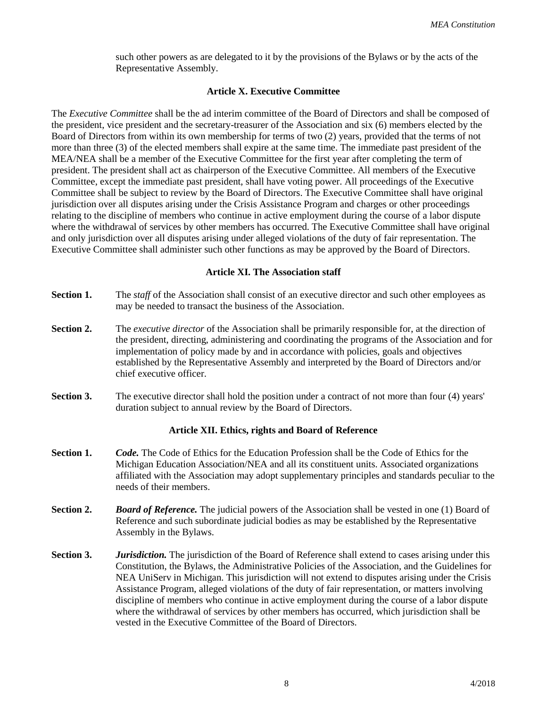such other powers as are delegated to it by the provisions of the Bylaws or by the acts of the Representative Assembly.

## **Article X. Executive Committee**

The *Executive Committee* shall be the ad interim committee of the Board of Directors and shall be composed of the president, vice president and the secretary-treasurer of the Association and six (6) members elected by the Board of Directors from within its own membership for terms of two (2) years, provided that the terms of not more than three (3) of the elected members shall expire at the same time. The immediate past president of the MEA/NEA shall be a member of the Executive Committee for the first year after completing the term of president. The president shall act as chairperson of the Executive Committee. All members of the Executive Committee, except the immediate past president, shall have voting power. All proceedings of the Executive Committee shall be subject to review by the Board of Directors. The Executive Committee shall have original jurisdiction over all disputes arising under the Crisis Assistance Program and charges or other proceedings relating to the discipline of members who continue in active employment during the course of a labor dispute where the withdrawal of services by other members has occurred. The Executive Committee shall have original and only jurisdiction over all disputes arising under alleged violations of the duty of fair representation. The Executive Committee shall administer such other functions as may be approved by the Board of Directors.

## **Article XI. The Association staff**

- **Section 1.** The *staff* of the Association shall consist of an executive director and such other employees as may be needed to transact the business of the Association.
- **Section 2.** The *executive director* of the Association shall be primarily responsible for, at the direction of the president, directing, administering and coordinating the programs of the Association and for implementation of policy made by and in accordance with policies, goals and objectives established by the Representative Assembly and interpreted by the Board of Directors and/or chief executive officer.
- **Section 3.** The executive director shall hold the position under a contract of not more than four (4) years' duration subject to annual review by the Board of Directors.

# **Article XII. Ethics, rights and Board of Reference**

- **Section 1.** *Code.* The Code of Ethics for the Education Profession shall be the Code of Ethics for the Michigan Education Association/NEA and all its constituent units. Associated organizations affiliated with the Association may adopt supplementary principles and standards peculiar to the needs of their members.
- **Section 2.** *Board of Reference.* The judicial powers of the Association shall be vested in one (1) Board of Reference and such subordinate judicial bodies as may be established by the Representative Assembly in the Bylaws.
- **Section 3.** *Jurisdiction*. The jurisdiction of the Board of Reference shall extend to cases arising under this Constitution, the Bylaws, the Administrative Policies of the Association, and the Guidelines for NEA UniServ in Michigan. This jurisdiction will not extend to disputes arising under the Crisis Assistance Program, alleged violations of the duty of fair representation, or matters involving discipline of members who continue in active employment during the course of a labor dispute where the withdrawal of services by other members has occurred, which jurisdiction shall be vested in the Executive Committee of the Board of Directors.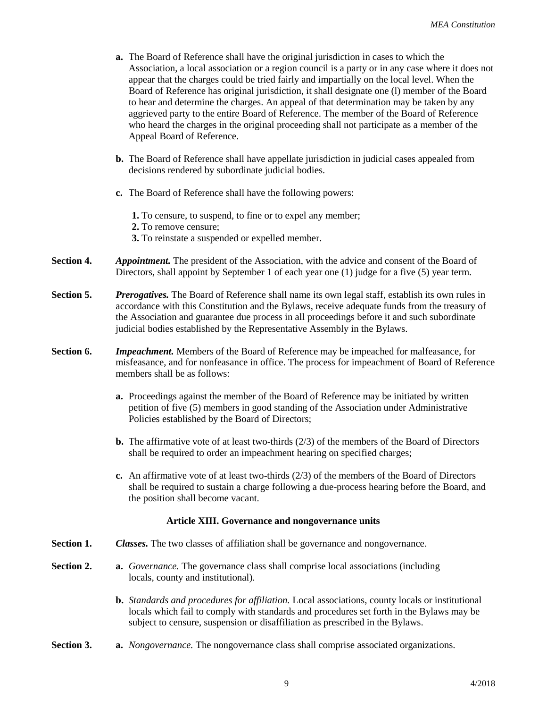- **a.** The Board of Reference shall have the original jurisdiction in cases to which the Association, a local association or a region council is a party or in any case where it does not appear that the charges could be tried fairly and impartially on the local level. When the Board of Reference has original jurisdiction, it shall designate one (l) member of the Board to hear and determine the charges. An appeal of that determination may be taken by any aggrieved party to the entire Board of Reference. The member of the Board of Reference who heard the charges in the original proceeding shall not participate as a member of the Appeal Board of Reference.
- **b.** The Board of Reference shall have appellate jurisdiction in judicial cases appealed from decisions rendered by subordinate judicial bodies.
- **c.** The Board of Reference shall have the following powers:

**1.** To censure, to suspend, to fine or to expel any member;

**2.** To remove censure;

- **3.** To reinstate a suspended or expelled member.
- **Section 4.** *Appointment.* The president of the Association, with the advice and consent of the Board of Directors, shall appoint by September 1 of each year one (1) judge for a five (5) year term.
- **Section 5.** *Prerogatives.* The Board of Reference shall name its own legal staff, establish its own rules in accordance with this Constitution and the Bylaws, receive adequate funds from the treasury of the Association and guarantee due process in all proceedings before it and such subordinate judicial bodies established by the Representative Assembly in the Bylaws.
- **Section 6.** *Impeachment.* Members of the Board of Reference may be impeached for malfeasance, for misfeasance, and for nonfeasance in office. The process for impeachment of Board of Reference members shall be as follows:
	- **a.** Proceedings against the member of the Board of Reference may be initiated by written petition of five (5) members in good standing of the Association under Administrative Policies established by the Board of Directors;
	- **b.** The affirmative vote of at least two-thirds (2/3) of the members of the Board of Directors shall be required to order an impeachment hearing on specified charges;
	- **c.** An affirmative vote of at least two-thirds (2/3) of the members of the Board of Directors shall be required to sustain a charge following a due-process hearing before the Board, and the position shall become vacant.

# **Article XIII. Governance and nongovernance units**

- **Section 1.** *Classes.* The two classes of affiliation shall be governance and nongovernance.
- **Section 2. a.** *Governance.* The governance class shall comprise local associations (including locals, county and institutional).
	- **b.** *Standards and procedures for affiliation.* Local associations, county locals or institutional locals which fail to comply with standards and procedures set forth in the Bylaws may be subject to censure, suspension or disaffiliation as prescribed in the Bylaws.
- **Section 3. a.** *Nongovernance.* The nongovernance class shall comprise associated organizations.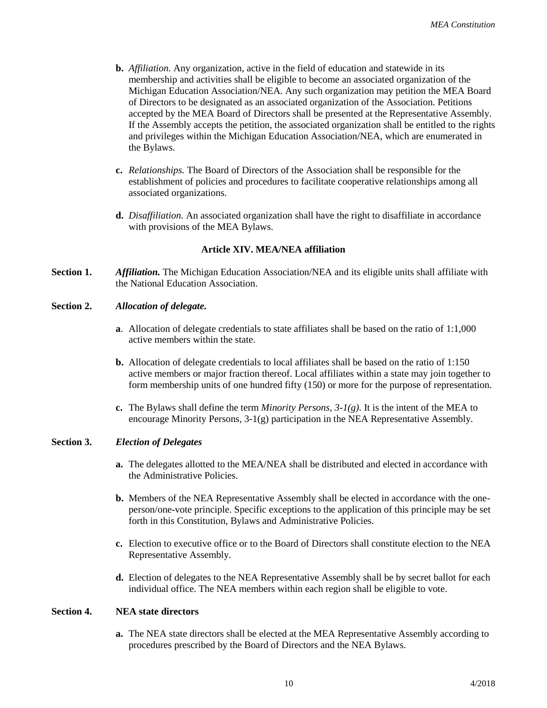- **b.** *Affiliation.* Any organization, active in the field of education and statewide in its membership and activities shall be eligible to become an associated organization of the Michigan Education Association/NEA. Any such organization may petition the MEA Board of Directors to be designated as an associated organization of the Association. Petitions accepted by the MEA Board of Directors shall be presented at the Representative Assembly. If the Assembly accepts the petition, the associated organization shall be entitled to the rights and privileges within the Michigan Education Association/NEA, which are enumerated in the Bylaws.
- **c.** *Relationships.* The Board of Directors of the Association shall be responsible for the establishment of policies and procedures to facilitate cooperative relationships among all associated organizations.
- **d.** *Disaffiliation.* An associated organization shall have the right to disaffiliate in accordance with provisions of the MEA Bylaws.

#### **Article XIV. MEA/NEA affiliation**

**Section 1.** *Affiliation.* The Michigan Education Association/NEA and its eligible units shall affiliate with the National Education Association.

## **Section 2.** *Allocation of delegate.*

- **a**. Allocation of delegate credentials to state affiliates shall be based on the ratio of 1:1,000 active members within the state.
- **b.** Allocation of delegate credentials to local affiliates shall be based on the ratio of 1:150 active members or major fraction thereof. Local affiliates within a state may join together to form membership units of one hundred fifty (150) or more for the purpose of representation.
- **c.** The Bylaws shall define the term *Minority Persons, 3-1(g)*. It is the intent of the MEA to encourage Minority Persons,  $3-1(g)$  participation in the NEA Representative Assembly.

# **Section 3.** *Election of Delegates*

- **a.** The delegates allotted to the MEA/NEA shall be distributed and elected in accordance with the Administrative Policies.
- **b.** Members of the NEA Representative Assembly shall be elected in accordance with the oneperson/one-vote principle. Specific exceptions to the application of this principle may be set forth in this Constitution, Bylaws and Administrative Policies.
- **c.** Election to executive office or to the Board of Directors shall constitute election to the NEA Representative Assembly.
- **d.** Election of delegates to the NEA Representative Assembly shall be by secret ballot for each individual office. The NEA members within each region shall be eligible to vote.

#### **Section 4. NEA state directors**

**a.** The NEA state directors shall be elected at the MEA Representative Assembly according to procedures prescribed by the Board of Directors and the NEA Bylaws.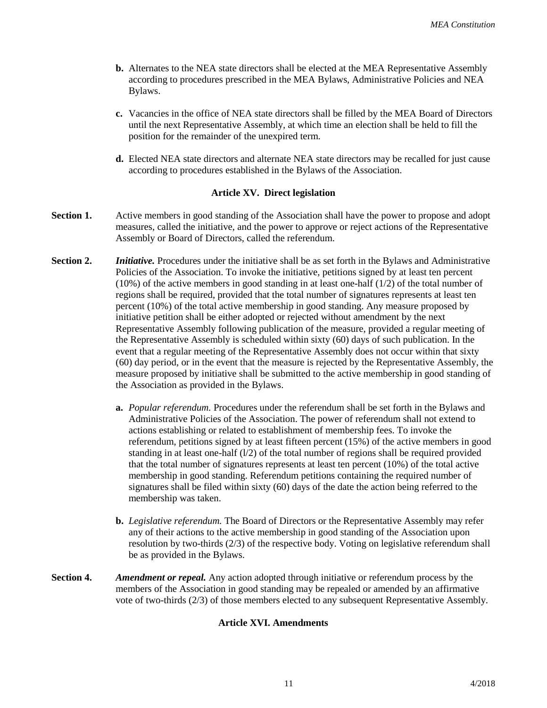- **b.** Alternates to the NEA state directors shall be elected at the MEA Representative Assembly according to procedures prescribed in the MEA Bylaws, Administrative Policies and NEA Bylaws.
- **c.** Vacancies in the office of NEA state directors shall be filled by the MEA Board of Directors until the next Representative Assembly, at which time an election shall be held to fill the position for the remainder of the unexpired term.
- **d.** Elected NEA state directors and alternate NEA state directors may be recalled for just cause according to procedures established in the Bylaws of the Association.

## **Article XV. Direct legislation**

- **Section 1.** Active members in good standing of the Association shall have the power to propose and adopt measures, called the initiative, and the power to approve or reject actions of the Representative Assembly or Board of Directors, called the referendum.
- **Section 2.** *Initiative.* Procedures under the initiative shall be as set forth in the Bylaws and Administrative Policies of the Association. To invoke the initiative, petitions signed by at least ten percent (10%) of the active members in good standing in at least one-half (1/2) of the total number of regions shall be required, provided that the total number of signatures represents at least ten percent (10%) of the total active membership in good standing. Any measure proposed by initiative petition shall be either adopted or rejected without amendment by the next Representative Assembly following publication of the measure, provided a regular meeting of the Representative Assembly is scheduled within sixty (60) days of such publication. In the event that a regular meeting of the Representative Assembly does not occur within that sixty (60) day period, or in the event that the measure is rejected by the Representative Assembly, the measure proposed by initiative shall be submitted to the active membership in good standing of the Association as provided in the Bylaws.
	- **a.** *Popular referendum.* Procedures under the referendum shall be set forth in the Bylaws and Administrative Policies of the Association. The power of referendum shall not extend to actions establishing or related to establishment of membership fees. To invoke the referendum, petitions signed by at least fifteen percent (15%) of the active members in good standing in at least one-half ( $1/2$ ) of the total number of regions shall be required provided that the total number of signatures represents at least ten percent (10%) of the total active membership in good standing. Referendum petitions containing the required number of signatures shall be filed within sixty (60) days of the date the action being referred to the membership was taken.
	- **b.** *Legislative referendum.* The Board of Directors or the Representative Assembly may refer any of their actions to the active membership in good standing of the Association upon resolution by two-thirds (2/3) of the respective body. Voting on legislative referendum shall be as provided in the Bylaws.
- **Section 4.** *Amendment or repeal.* Any action adopted through initiative or referendum process by the members of the Association in good standing may be repealed or amended by an affirmative vote of two-thirds (2/3) of those members elected to any subsequent Representative Assembly.

#### **Article XVI. Amendments**